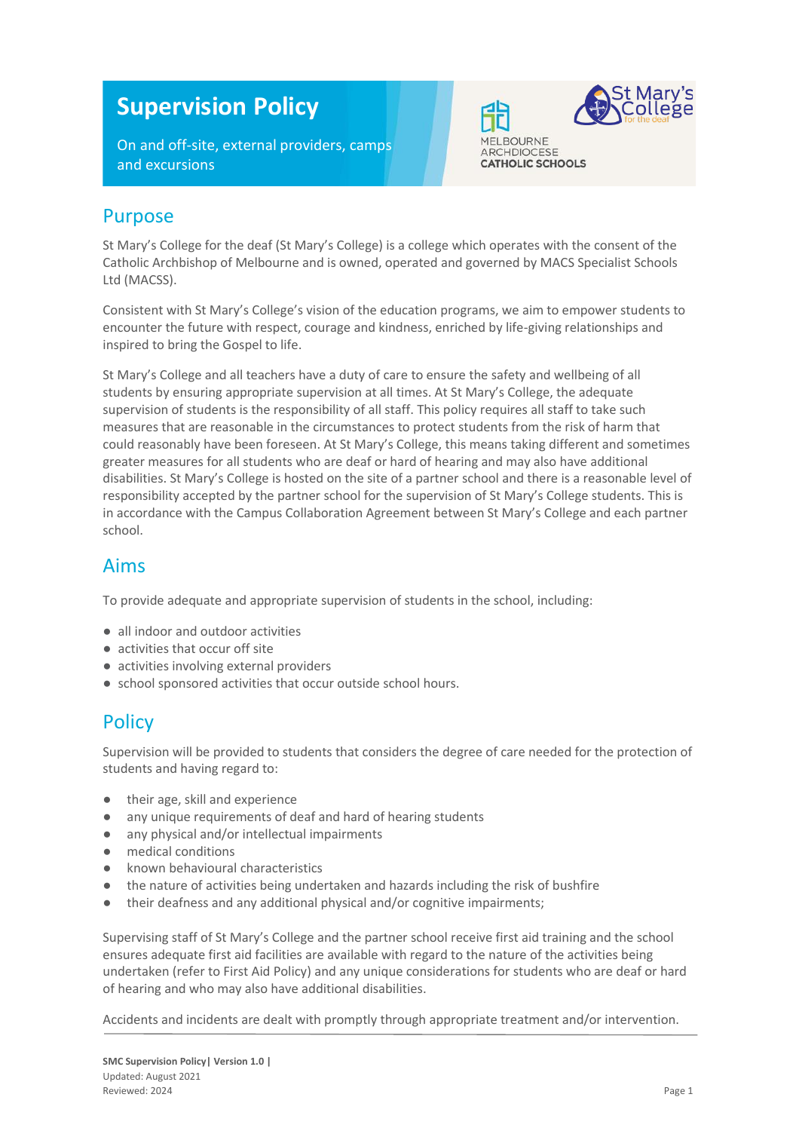# **Supervision Policy**

On and off-site, external providers, camps and excursions



**CATHOLIC SCHOOLS** 

#### Purpose

St Mary's College for the deaf (St Mary's College) is a college which operates with the consent of the Catholic Archbishop of Melbourne and is owned, operated and governed by MACS Specialist Schools Ltd (MACSS).

Consistent with St Mary's College's vision of the education programs, we aim to empower students to encounter the future with respect, courage and kindness, enriched by life-giving relationships and inspired to bring the Gospel to life.

St Mary's College and all teachers have a duty of care to ensure the safety and wellbeing of all students by ensuring appropriate supervision at all times. At St Mary's College, the adequate supervision of students is the responsibility of all staff. This policy requires all staff to take such measures that are reasonable in the circumstances to protect students from the risk of harm that could reasonably have been foreseen. At St Mary's College, this means taking different and sometimes greater measures for all students who are deaf or hard of hearing and may also have additional disabilities. St Mary's College is hosted on the site of a partner school and there is a reasonable level of responsibility accepted by the partner school for the supervision of St Mary's College students. This is in accordance with the Campus Collaboration Agreement between St Mary's College and each partner school.

#### Aims

To provide adequate and appropriate supervision of students in the school, including:

- all indoor and outdoor activities
- activities that occur off site
- activities involving external providers
- school sponsored activities that occur outside school hours.

#### **Policy**

Supervision will be provided to students that considers the degree of care needed for the protection of students and having regard to:

- their age, skill and experience
- any unique requirements of deaf and hard of hearing students
- any physical and/or intellectual impairments
- medical conditions
- known behavioural characteristics
- the nature of activities being undertaken and hazards including the risk of bushfire
- their deafness and any additional physical and/or cognitive impairments;

Supervising staff of St Mary's College and the partner school receive first aid training and the school ensures adequate first aid facilities are available with regard to the nature of the activities being undertaken (refer to First Aid Policy) and any unique considerations for students who are deaf or hard of hearing and who may also have additional disabilities.

Accidents and incidents are dealt with promptly through appropriate treatment and/or intervention.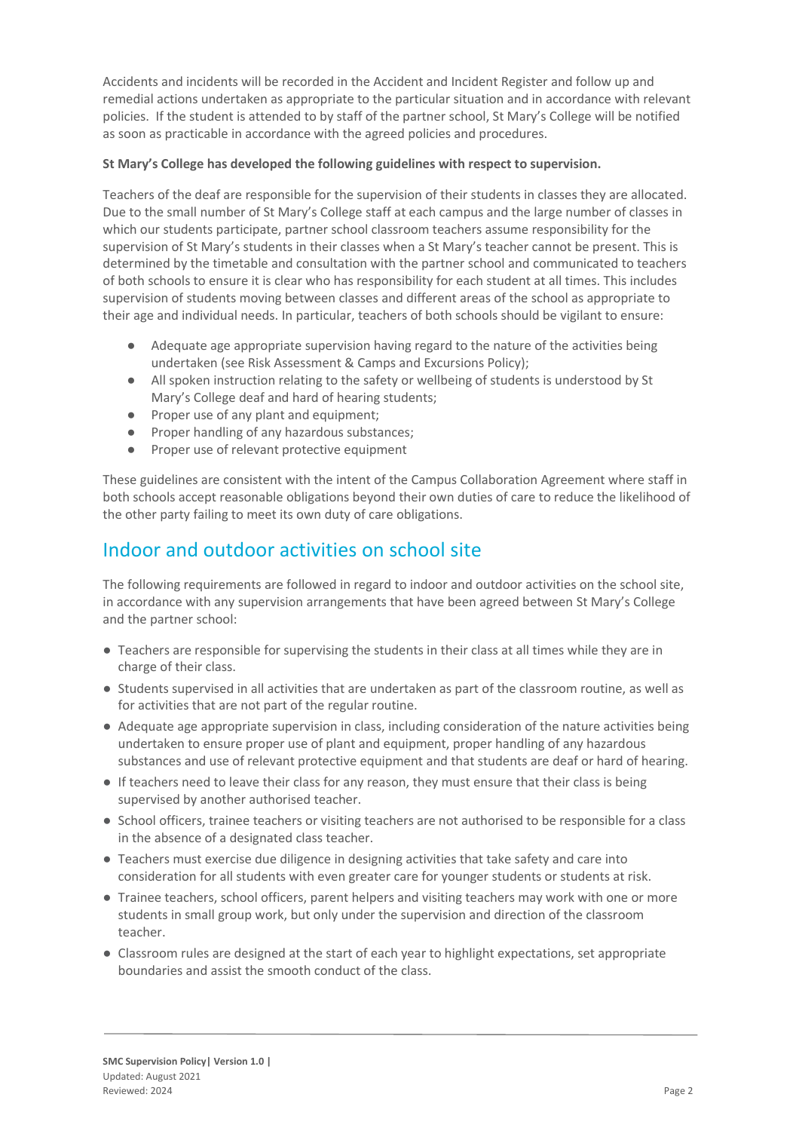Accidents and incidents will be recorded in the Accident and Incident Register and follow up and remedial actions undertaken as appropriate to the particular situation and in accordance with relevant policies. If the student is attended to by staff of the partner school, St Mary's College will be notified as soon as practicable in accordance with the agreed policies and procedures.

#### **St Mary's College has developed the following guidelines with respect to supervision.**

Teachers of the deaf are responsible for the supervision of their students in classes they are allocated. Due to the small number of St Mary's College staff at each campus and the large number of classes in which our students participate, partner school classroom teachers assume responsibility for the supervision of St Mary's students in their classes when a St Mary's teacher cannot be present. This is determined by the timetable and consultation with the partner school and communicated to teachers of both schools to ensure it is clear who has responsibility for each student at all times. This includes supervision of students moving between classes and different areas of the school as appropriate to their age and individual needs. In particular, teachers of both schools should be vigilant to ensure:

- Adequate age appropriate supervision having regard to the nature of the activities being undertaken (see Risk Assessment & Camps and Excursions Policy);
- All spoken instruction relating to the safety or wellbeing of students is understood by St Mary's College deaf and hard of hearing students;
- Proper use of any plant and equipment;
- Proper handling of any hazardous substances;
- Proper use of relevant protective equipment

These guidelines are consistent with the intent of the Campus Collaboration Agreement where staff in both schools accept reasonable obligations beyond their own duties of care to reduce the likelihood of the other party failing to meet its own duty of care obligations.

### Indoor and outdoor activities on school site

The following requirements are followed in regard to indoor and outdoor activities on the school site, in accordance with any supervision arrangements that have been agreed between St Mary's College and the partner school:

- Teachers are responsible for supervising the students in their class at all times while they are in charge of their class.
- Students supervised in all activities that are undertaken as part of the classroom routine, as well as for activities that are not part of the regular routine.
- Adequate age appropriate supervision in class, including consideration of the nature activities being undertaken to ensure proper use of plant and equipment, proper handling of any hazardous substances and use of relevant protective equipment and that students are deaf or hard of hearing.
- If teachers need to leave their class for any reason, they must ensure that their class is being supervised by another authorised teacher.
- School officers, trainee teachers or visiting teachers are not authorised to be responsible for a class in the absence of a designated class teacher.
- Teachers must exercise due diligence in designing activities that take safety and care into consideration for all students with even greater care for younger students or students at risk.
- Trainee teachers, school officers, parent helpers and visiting teachers may work with one or more students in small group work, but only under the supervision and direction of the classroom teacher.
- Classroom rules are designed at the start of each year to highlight expectations, set appropriate boundaries and assist the smooth conduct of the class.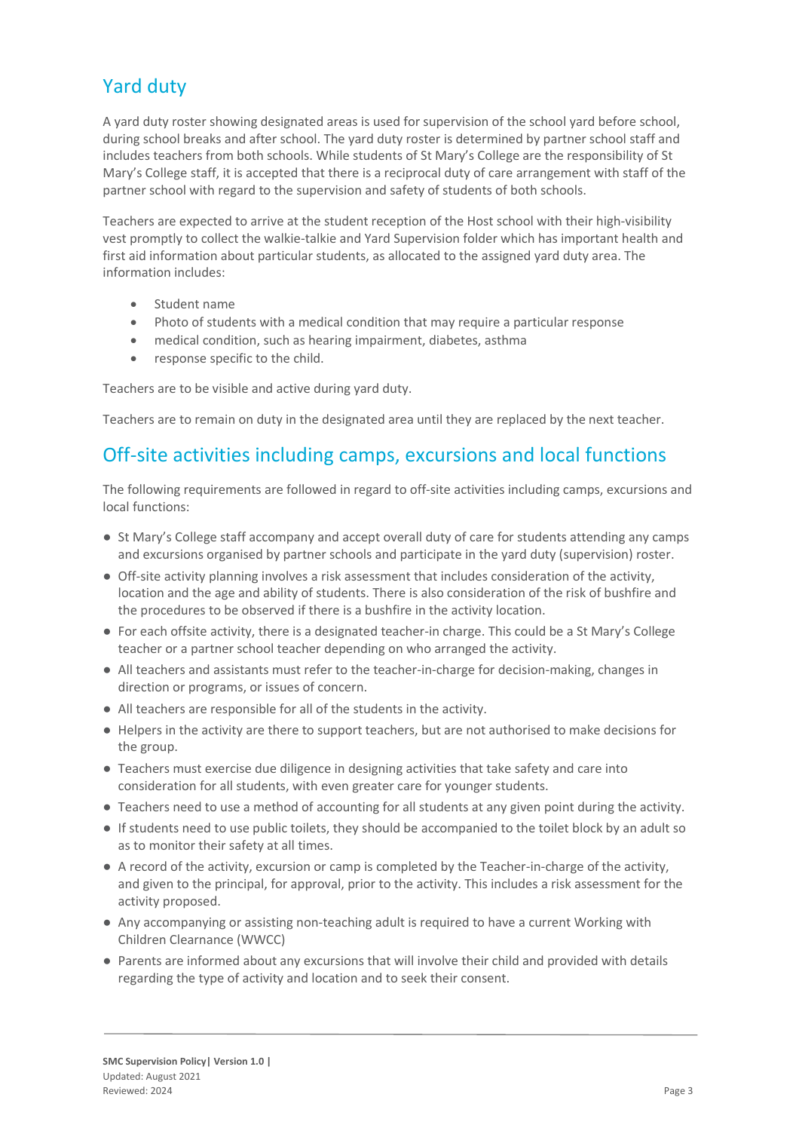# Yard duty

A yard duty roster showing designated areas is used for supervision of the school yard before school, during school breaks and after school. The yard duty roster is determined by partner school staff and includes teachers from both schools. While students of St Mary's College are the responsibility of St Mary's College staff, it is accepted that there is a reciprocal duty of care arrangement with staff of the partner school with regard to the supervision and safety of students of both schools.

Teachers are expected to arrive at the student reception of the Host school with their high-visibility vest promptly to collect the walkie-talkie and Yard Supervision folder which has important health and first aid information about particular students, as allocated to the assigned yard duty area. The information includes:

- Student name
- Photo of students with a medical condition that may require a particular response
- medical condition, such as hearing impairment, diabetes, asthma
- response specific to the child.

Teachers are to be visible and active during yard duty.

Teachers are to remain on duty in the designated area until they are replaced by the next teacher.

### Off-site activities including camps, excursions and local functions

The following requirements are followed in regard to off-site activities including camps, excursions and local functions:

- St Mary's College staff accompany and accept overall duty of care for students attending any camps and excursions organised by partner schools and participate in the yard duty (supervision) roster.
- Off-site activity planning involves a risk assessment that includes consideration of the activity, location and the age and ability of students. There is also consideration of the risk of bushfire and the procedures to be observed if there is a bushfire in the activity location.
- For each offsite activity, there is a designated teacher-in charge. This could be a St Mary's College teacher or a partner school teacher depending on who arranged the activity.
- All teachers and assistants must refer to the teacher-in-charge for decision-making, changes in direction or programs, or issues of concern.
- All teachers are responsible for all of the students in the activity.
- Helpers in the activity are there to support teachers, but are not authorised to make decisions for the group.
- Teachers must exercise due diligence in designing activities that take safety and care into consideration for all students, with even greater care for younger students.
- Teachers need to use a method of accounting for all students at any given point during the activity.
- If students need to use public toilets, they should be accompanied to the toilet block by an adult so as to monitor their safety at all times.
- A record of the activity, excursion or camp is completed by the Teacher-in-charge of the activity, and given to the principal, for approval, prior to the activity. This includes a risk assessment for the activity proposed.
- Any accompanying or assisting non-teaching adult is required to have a current Working with Children Clearnance (WWCC)
- Parents are informed about any excursions that will involve their child and provided with details regarding the type of activity and location and to seek their consent.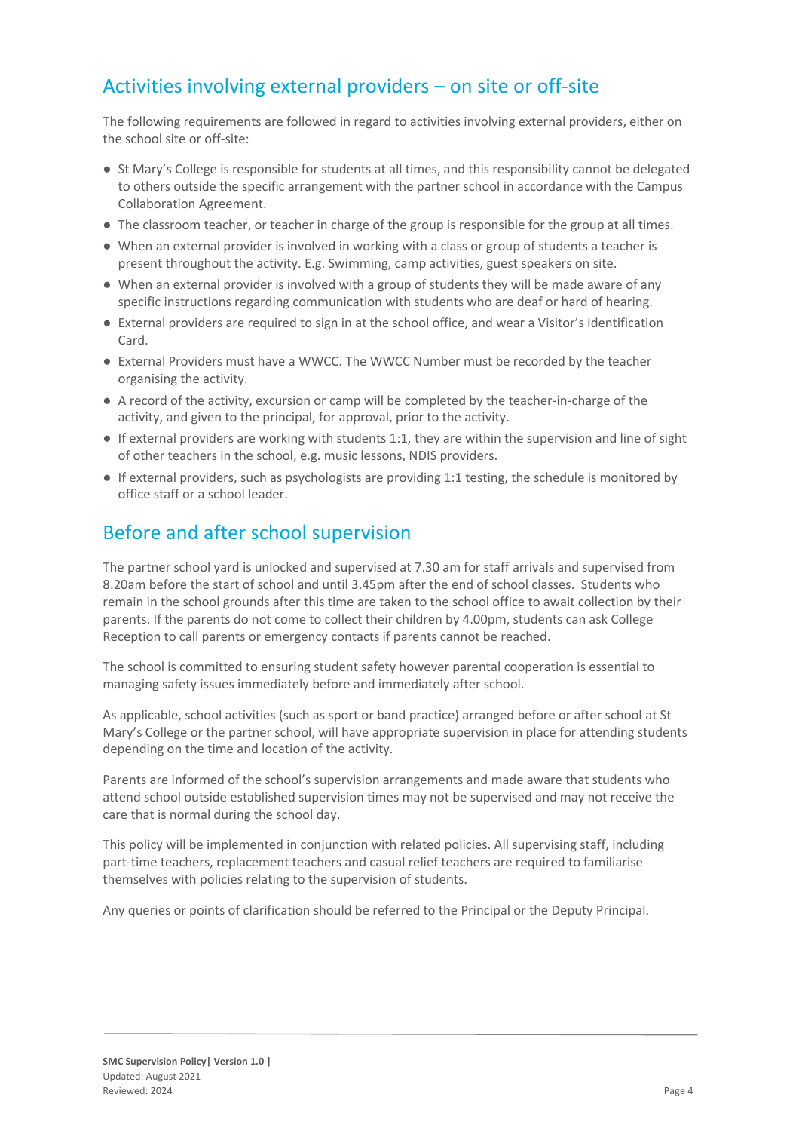# Activities involving external providers – on site or off-site

The following requirements are followed in regard to activities involving external providers, either on the school site or off-site:

- St Mary's College is responsible for students at all times, and this responsibility cannot be delegated to others outside the specific arrangement with the partner school in accordance with the Campus Collaboration Agreement.
- The classroom teacher, or teacher in charge of the group is responsible for the group at all times.
- When an external provider is involved in working with a class or group of students a teacher is present throughout the activity. E.g. Swimming, camp activities, guest speakers on site.
- When an external provider is involved with a group of students they will be made aware of any specific instructions regarding communication with students who are deaf or hard of hearing.
- External providers are required to sign in at the school office, and wear a Visitor's Identification Card.
- External Providers must have a WWCC. The WWCC Number must be recorded by the teacher organising the activity.
- A record of the activity, excursion or camp will be completed by the teacher-in-charge of the activity, and given to the principal, for approval, prior to the activity.
- If external providers are working with students 1:1, they are within the supervision and line of sight of other teachers in the school, e.g. music lessons, NDIS providers.
- If external providers, such as psychologists are providing 1:1 testing, the schedule is monitored by office staff or a school leader.

# Before and after school supervision

The partner school yard is unlocked and supervised at 7.30 am for staff arrivals and supervised from 8.20am before the start of school and until 3.45pm after the end of school classes. Students who remain in the school grounds after this time are taken to the school office to await collection by their parents. If the parents do not come to collect their children by 4.00pm, students can ask College Reception to call parents or emergency contacts if parents cannot be reached.

The school is committed to ensuring student safety however parental cooperation is essential to managing safety issues immediately before and immediately after school.

As applicable, school activities (such as sport or band practice) arranged before or after school at St Mary's College or the partner school, will have appropriate supervision in place for attending students depending on the time and location of the activity.

Parents are informed of the school's supervision arrangements and made aware that students who attend school outside established supervision times may not be supervised and may not receive the care that is normal during the school day.

This policy will be implemented in conjunction with related policies. All supervising staff, including part-time teachers, replacement teachers and casual relief teachers are required to familiarise themselves with policies relating to the supervision of students.

Any queries or points of clarification should be referred to the Principal or the Deputy Principal.